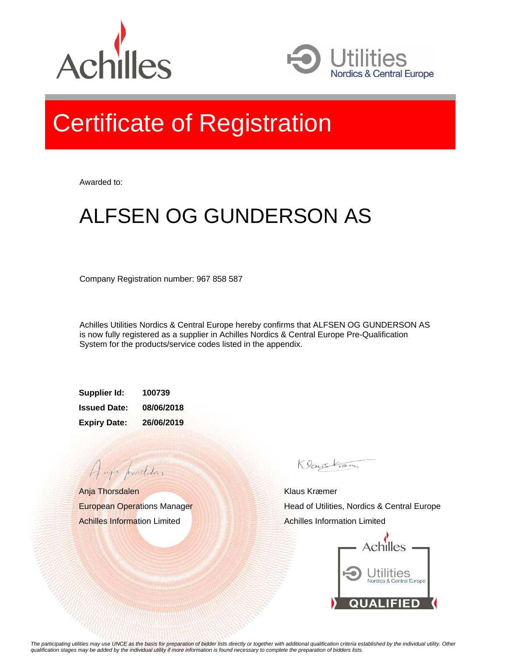



## Certificate of Registration

Awarded to:

## ALFSEN OG GUNDERSON AS

Company Registration number: 967 858 587

Achilles Utilities Nordics & Central Europe hereby confirms that ALFSEN OG GUNDERSON AS is now fully registered as a supplier in Achilles Nordics & Central Europe Pre-Qualification System for the products/service codes listed in the appendix.

**Supplier Id: 100739 Issued Date: 08/06/2018 Expiry Date: 26/06/2019**

Anja Thorsdalen European Operations Manager Achilles Information Limited

A aja providdan

Klauskam

Klaus Kræmer Head of Utilities, Nordics & Central Europe Achilles Information Limited



*The participating utilities may use UNCE as the basis for preparation of bidder lists directly or together with additional qualification criteria established by the individual utility. Other qualification stages may be added by the individual utility if more information is found necessary to complete the preparation of bidders lists.*